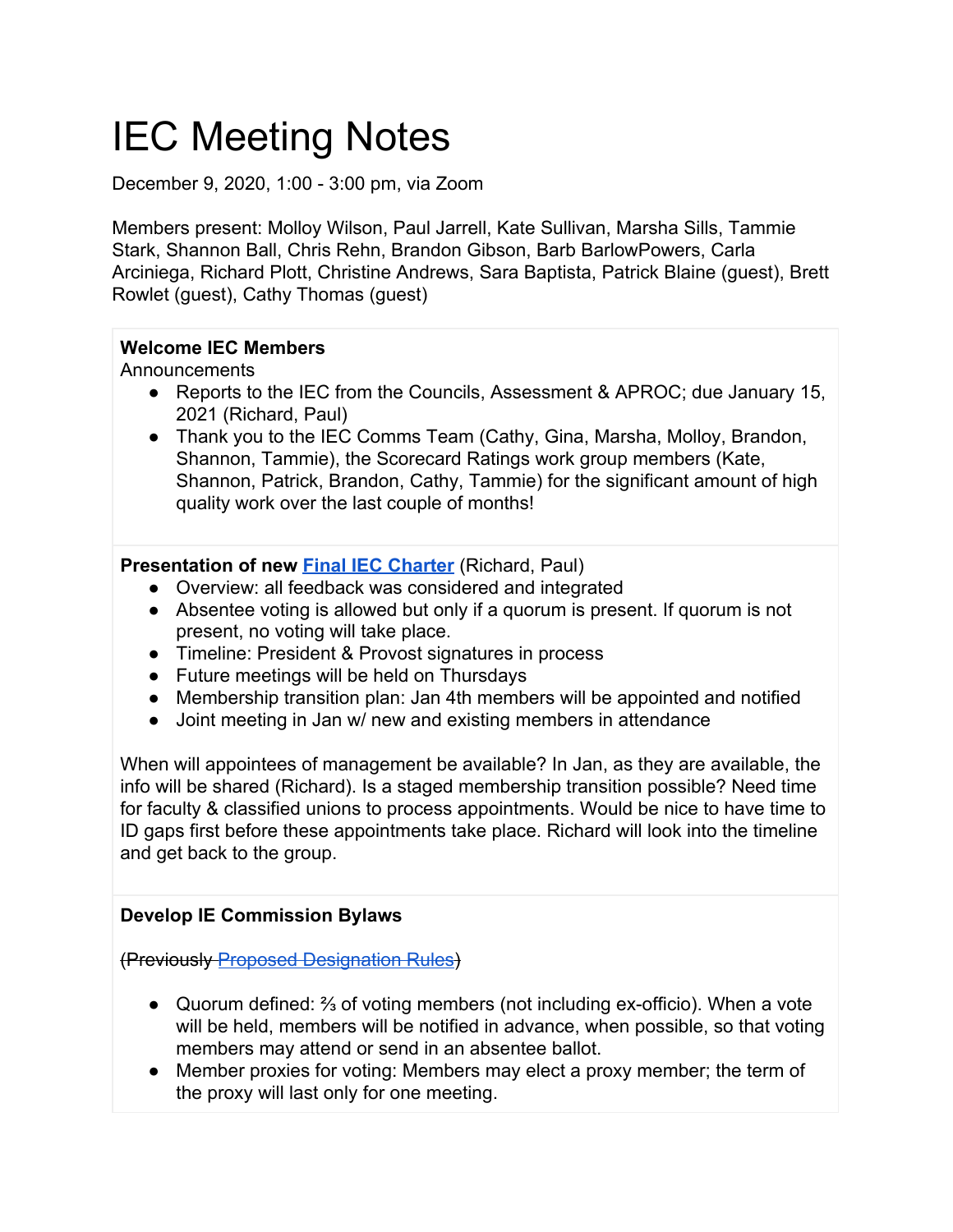# IEC Meeting Notes

December 9, 2020, 1:00 - 3:00 pm, via Zoom

Members present: Molloy Wilson, Paul Jarrell, Kate Sullivan, Marsha Sills, Tammie Stark, Shannon Ball, Chris Rehn, Brandon Gibson, Barb BarlowPowers, Carla Arciniega, Richard Plott, Christine Andrews, Sara Baptista, Patrick Blaine (guest), Brett Rowlet (guest), Cathy Thomas (guest)

### **Welcome IEC Members**

Announcements

- Reports to the IEC from the Councils, Assessment & APROC; due January 15, 2021 (Richard, Paul)
- Thank you to the IEC Comms Team (Cathy, Gina, Marsha, Molloy, Brandon, Shannon, Tammie), the Scorecard Ratings work group members (Kate, Shannon, Patrick, Brandon, Cathy, Tammie) for the significant amount of high quality work over the last couple of months!

### **Presentation of new [Final IEC Charter](https://drive.google.com/file/d/1vrRGKbmsF43ro5hFmaBxTuEO-p6DkBWI/view?usp=sharing)** (Richard, Paul)

- Overview: all feedback was considered and integrated
- Absentee voting is allowed but only if a quorum is present. If quorum is not present, no voting will take place.
- Timeline: President & Provost signatures in process
- Future meetings will be held on Thursdays
- Membership transition plan: Jan 4th members will be appointed and notified
- Joint meeting in Jan w/ new and existing members in attendance

When will appointees of management be available? In Jan, as they are available, the info will be shared (Richard). Is a staged membership transition possible? Need time for faculty & classified unions to process appointments. Would be nice to have time to ID gaps first before these appointments take place. Richard will look into the timeline and get back to the group.

# **Develop IE Commission Bylaws**

(Previously [Proposed Designation Rules](https://docs.google.com/document/d/13LXeGR-9iDL5Bo-DK4jp58YuSbkH-m9jHZ4zY9MHSoE/edit?usp=sharing))

- Quorum defined: ⅔ of voting members (not including ex-officio). When a vote will be held, members will be notified in advance, when possible, so that voting members may attend or send in an absentee ballot.
- Member proxies for voting: Members may elect a proxy member; the term of the proxy will last only for one meeting.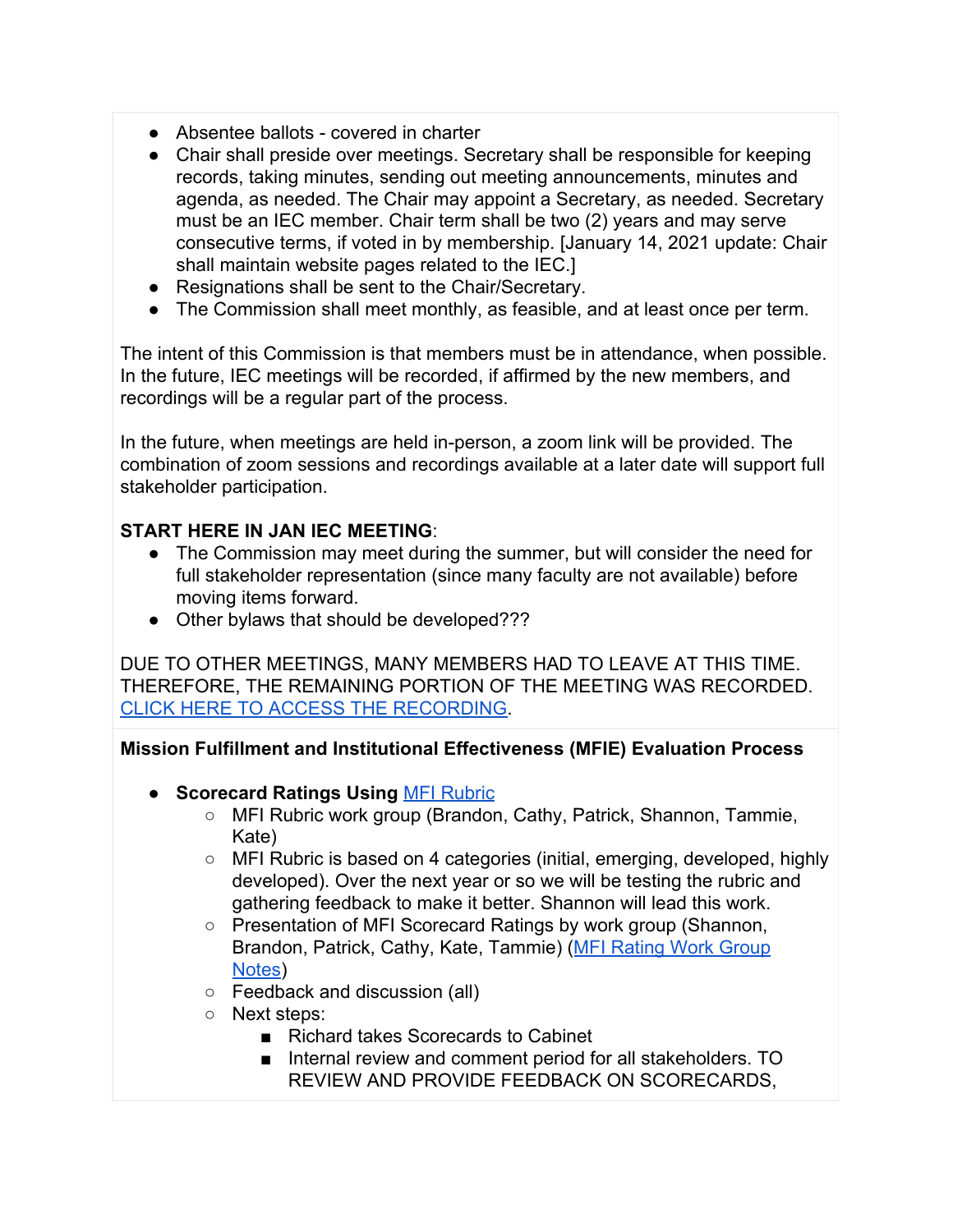- Absentee ballots covered in charter
- Chair shall preside over meetings. Secretary shall be responsible for keeping records, taking minutes, sending out meeting announcements, minutes and agenda, as needed. The Chair may appoint a Secretary, as needed. Secretary must be an IEC member. Chair term shall be two (2) years and may serve consecutive terms, if voted in by membership. [January 14, 2021 update: Chair shall maintain website pages related to the IEC.]
- Resignations shall be sent to the Chair/Secretary.
- The Commission shall meet monthly, as feasible, and at least once per term.

The intent of this Commission is that members must be in attendance, when possible. In the future, IEC meetings will be recorded, if affirmed by the new members, and recordings will be a regular part of the process.

In the future, when meetings are held in-person, a zoom link will be provided. The combination of zoom sessions and recordings available at a later date will support full stakeholder participation.

# **START HERE IN JAN IEC MEETING**:

- The Commission may meet during the summer, but will consider the need for full stakeholder representation (since many faculty are not available) before moving items forward.
- Other bylaws that should be developed???

DUE TO OTHER MEETINGS, MANY MEMBERS HAD TO LEAVE AT THIS TIME. THEREFORE, THE REMAINING PORTION OF THE MEETING WAS RECORDED. [CLICK HERE TO ACCESS THE RECORDING.](https://lanecc.zoom.us/rec/share/8g2pDiwMfDNAybaaakuWRXCHUnrQbDeuuz-9zNkt-wtyc5k0iQOlPZeTmVMv_IC_.bqYuJwTSUqfzyrsf)

**Mission Fulfillment and Institutional Effectiveness (MFIE) Evaluation Process**

- **● Scorecard Ratings Using** [MFI Rubric](https://docs.google.com/document/d/12W41z12lumB-UtG4O2I4V5UNKGNnCwE3EZzri7YEwNQ/edit)
	- MFI Rubric work group (Brandon, Cathy, Patrick, Shannon, Tammie, Kate)
	- $\circ$  MFI Rubric is based on 4 categories (initial, emerging, developed, highly developed). Over the next year or so we will be testing the rubric and gathering feedback to make it better. Shannon will lead this work.
	- Presentation of MFI Scorecard Ratings by work group (Shannon, Brandon, Patrick, Cathy, Kate, Tammie) ([MFI Rating Work Group](https://docs.google.com/document/d/1FQOoLRUhIqOVNs0Ipc9GiP2wTIEuIS_5fycxzsLHUGI/edit) [Notes\)](https://docs.google.com/document/d/1FQOoLRUhIqOVNs0Ipc9GiP2wTIEuIS_5fycxzsLHUGI/edit)
	- Feedback and discussion (all)
	- Next steps:
		- Richard takes Scorecards to Cabinet
		- Internal review and comment period for all stakeholders. TO REVIEW AND PROVIDE FEEDBACK ON SCORECARDS,